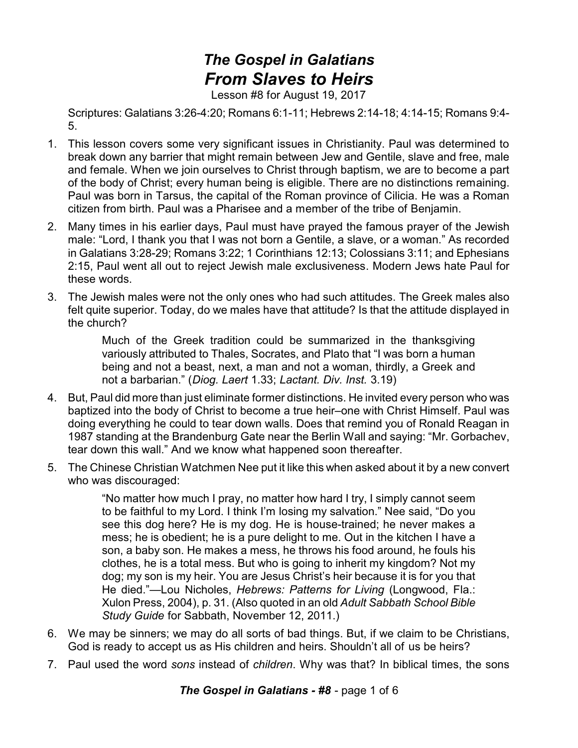## *The Gospel in Galatians From Slaves to Heirs*

Lesson #8 for August 19, 2017

Scriptures: Galatians 3:26-4:20; Romans 6:1-11; Hebrews 2:14-18; 4:14-15; Romans 9:4- 5.

- 1. This lesson covers some very significant issues in Christianity. Paul was determined to break down any barrier that might remain between Jew and Gentile, slave and free, male and female. When we join ourselves to Christ through baptism, we are to become a part of the body of Christ; every human being is eligible. There are no distinctions remaining. Paul was born in Tarsus, the capital of the Roman province of Cilicia. He was a Roman citizen from birth. Paul was a Pharisee and a member of the tribe of Benjamin.
- 2. Many times in his earlier days, Paul must have prayed the famous prayer of the Jewish male: "Lord, I thank you that I was not born a Gentile, a slave, or a woman." As recorded in Galatians 3:28-29; Romans 3:22; 1 Corinthians 12:13; Colossians 3:11; and Ephesians 2:15, Paul went all out to reject Jewish male exclusiveness. Modern Jews hate Paul for these words.
- 3. The Jewish males were not the only ones who had such attitudes. The Greek males also felt quite superior. Today, do we males have that attitude? Is that the attitude displayed in the church?

Much of the Greek tradition could be summarized in the thanksgiving variously attributed to Thales, Socrates, and Plato that "I was born a human being and not a beast, next, a man and not a woman, thirdly, a Greek and not a barbarian." (*Diog. Laert* 1.33; *Lactant. Div. Inst.* 3.19)

- 4. But, Paul did more than just eliminate former distinctions. He invited every person who was baptized into the body of Christ to become a true heir–one with Christ Himself. Paul was doing everything he could to tear down walls. Does that remind you of Ronald Reagan in 1987 standing at the Brandenburg Gate near the Berlin Wall and saying: "Mr. Gorbachev, tear down this wall." And we know what happened soon thereafter.
- 5. The Chinese Christian Watchmen Nee put it like this when asked about it by a new convert who was discouraged:

"No matter how much I pray, no matter how hard I try, I simply cannot seem to be faithful to my Lord. I think I'm losing my salvation." Nee said, "Do you see this dog here? He is my dog. He is house-trained; he never makes a mess; he is obedient; he is a pure delight to me. Out in the kitchen I have a son, a baby son. He makes a mess, he throws his food around, he fouls his clothes, he is a total mess. But who is going to inherit my kingdom? Not my dog; my son is my heir. You are Jesus Christ's heir because it is for you that He died."—Lou Nicholes, *Hebrews: Patterns for Living* (Longwood, Fla.: Xulon Press, 2004), p. 31. (Also quoted in an old *Adult Sabbath School Bible Study Guide* for Sabbath, November 12, 2011.)

- 6. We may be sinners; we may do all sorts of bad things. But, if we claim to be Christians, God is ready to accept us as His children and heirs. Shouldn't all of us be heirs?
- 7. Paul used the word *sons* instead of *children*. Why was that? In biblical times, the sons

*The Gospel in Galatians - #8* - page 1 of 6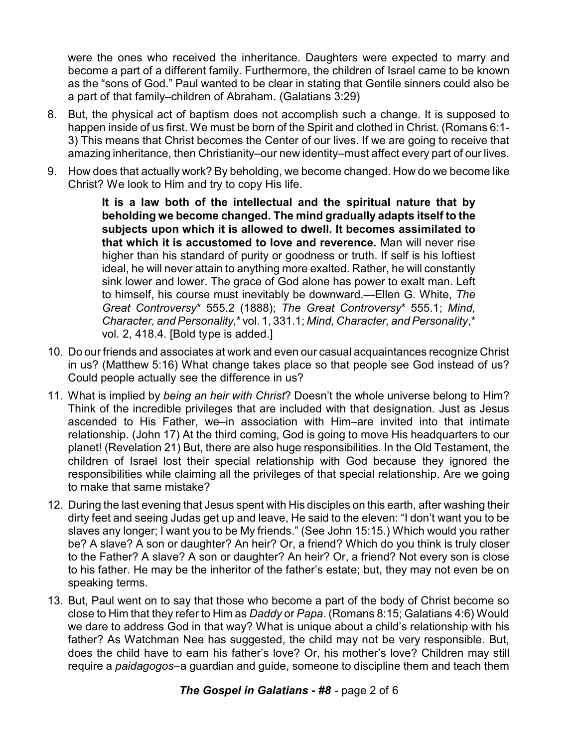were the ones who received the inheritance. Daughters were expected to marry and become a part of a different family. Furthermore, the children of Israel came to be known as the "sons of God." Paul wanted to be clear in stating that Gentile sinners could also be a part of that family–children of Abraham. (Galatians 3:29)

- 8. But, the physical act of baptism does not accomplish such a change. It is supposed to happen inside of us first. We must be born of the Spirit and clothed in Christ. (Romans 6:1- 3) This means that Christ becomes the Center of our lives. If we are going to receive that amazing inheritance, then Christianity–our new identity–must affect every part of our lives.
- 9. How does that actually work? By beholding, we become changed. How do we become like Christ? We look to Him and try to copy His life.

**It is a law both of the intellectual and the spiritual nature that by beholding we become changed. The mind gradually adapts itself to the subjects upon which it is allowed to dwell. It becomes assimilated to that which it is accustomed to love and reverence.** Man will never rise higher than his standard of purity or goodness or truth. If self is his loftiest ideal, he will never attain to anything more exalted. Rather, he will constantly sink lower and lower. The grace of God alone has power to exalt man. Left to himself, his course must inevitably be downward.—Ellen G. White, *The Great Controversy*\* 555.2 (1888); *The Great Controversy*\* 555.1; *Mind, Character, and Personality*,\* vol. 1, 331.1; *Mind, Character, and Personality*,\* vol. 2, 418.4. [Bold type is added.]

- 10. Do our friends and associates at work and even our casual acquaintances recognize Christ in us? (Matthew 5:16) What change takes place so that people see God instead of us? Could people actually see the difference in us?
- 11. What is implied by *being an heir with Christ*? Doesn't the whole universe belong to Him? Think of the incredible privileges that are included with that designation. Just as Jesus ascended to His Father, we–in association with Him–are invited into that intimate relationship. (John 17) At the third coming, God is going to move His headquarters to our planet! (Revelation 21) But, there are also huge responsibilities. In the Old Testament, the children of Israel lost their special relationship with God because they ignored the responsibilities while claiming all the privileges of that special relationship. Are we going to make that same mistake?
- 12. During the last evening that Jesus spent with His disciples on this earth, after washing their dirty feet and seeing Judas get up and leave, He said to the eleven: "I don't want you to be slaves any longer; I want you to be My friends." (See John 15:15.) Which would you rather be? A slave? A son or daughter? An heir? Or, a friend? Which do you think is truly closer to the Father? A slave? A son or daughter? An heir? Or, a friend? Not every son is close to his father. He may be the inheritor of the father's estate; but, they may not even be on speaking terms.
- 13. But, Paul went on to say that those who become a part of the body of Christ become so close to Him that they refer to Him as *Daddy* or *Papa*. (Romans 8:15; Galatians 4:6) Would we dare to address God in that way? What is unique about a child's relationship with his father? As Watchman Nee has suggested, the child may not be very responsible. But, does the child have to earn his father's love? Or, his mother's love? Children may still require a *paidagogos*–a guardian and guide, someone to discipline them and teach them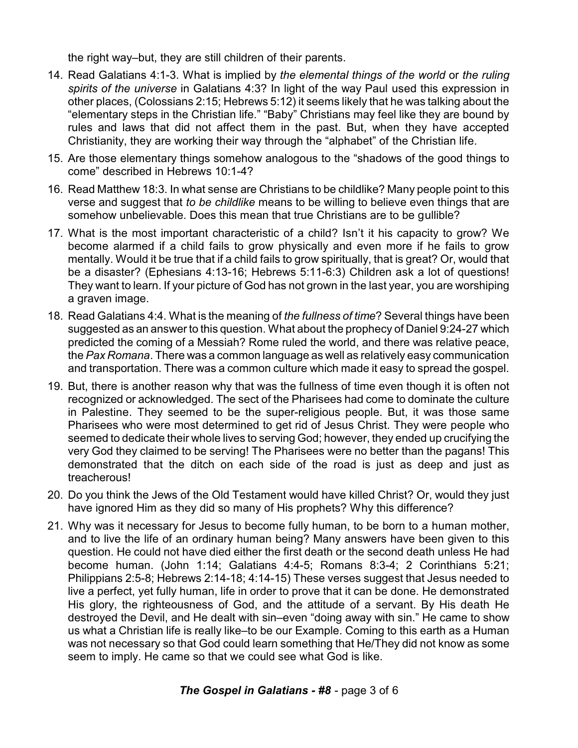the right way–but, they are still children of their parents.

- 14. Read Galatians 4:1-3. What is implied by *the elemental things of the world* or *the ruling spirits of the universe* in Galatians 4:3? In light of the way Paul used this expression in other places, (Colossians 2:15; Hebrews 5:12) it seems likely that he was talking about the "elementary steps in the Christian life." "Baby" Christians may feel like they are bound by rules and laws that did not affect them in the past. But, when they have accepted Christianity, they are working their way through the "alphabet" of the Christian life.
- 15. Are those elementary things somehow analogous to the "shadows of the good things to come" described in Hebrews 10:1-4?
- 16. Read Matthew 18:3. In what sense are Christians to be childlike? Many people point to this verse and suggest that *to be childlike* means to be willing to believe even things that are somehow unbelievable. Does this mean that true Christians are to be gullible?
- 17. What is the most important characteristic of a child? Isn't it his capacity to grow? We become alarmed if a child fails to grow physically and even more if he fails to grow mentally. Would it be true that if a child fails to grow spiritually, that is great? Or, would that be a disaster? (Ephesians 4:13-16; Hebrews 5:11-6:3) Children ask a lot of questions! They want to learn. If your picture of God has not grown in the last year, you are worshiping a graven image.
- 18. Read Galatians 4:4. What is the meaning of *the fullness of time*? Several things have been suggested as an answer to this question. What about the prophecy of Daniel 9:24-27 which predicted the coming of a Messiah? Rome ruled the world, and there was relative peace, the *Pax Romana*. There was a common language as well as relatively easy communication and transportation. There was a common culture which made it easy to spread the gospel.
- 19. But, there is another reason why that was the fullness of time even though it is often not recognized or acknowledged. The sect of the Pharisees had come to dominate the culture in Palestine. They seemed to be the super-religious people. But, it was those same Pharisees who were most determined to get rid of Jesus Christ. They were people who seemed to dedicate their whole lives to serving God; however, they ended up crucifying the very God they claimed to be serving! The Pharisees were no better than the pagans! This demonstrated that the ditch on each side of the road is just as deep and just as treacherous!
- 20. Do you think the Jews of the Old Testament would have killed Christ? Or, would they just have ignored Him as they did so many of His prophets? Why this difference?
- 21. Why was it necessary for Jesus to become fully human, to be born to a human mother, and to live the life of an ordinary human being? Many answers have been given to this question. He could not have died either the first death or the second death unless He had become human. (John 1:14; Galatians 4:4-5; Romans 8:3-4; 2 Corinthians 5:21; Philippians 2:5-8; Hebrews 2:14-18; 4:14-15) These verses suggest that Jesus needed to live a perfect, yet fully human, life in order to prove that it can be done. He demonstrated His glory, the righteousness of God, and the attitude of a servant. By His death He destroyed the Devil, and He dealt with sin–even "doing away with sin." He came to show us what a Christian life is really like–to be our Example. Coming to this earth as a Human was not necessary so that God could learn something that He/They did not know as some seem to imply. He came so that we could see what God is like.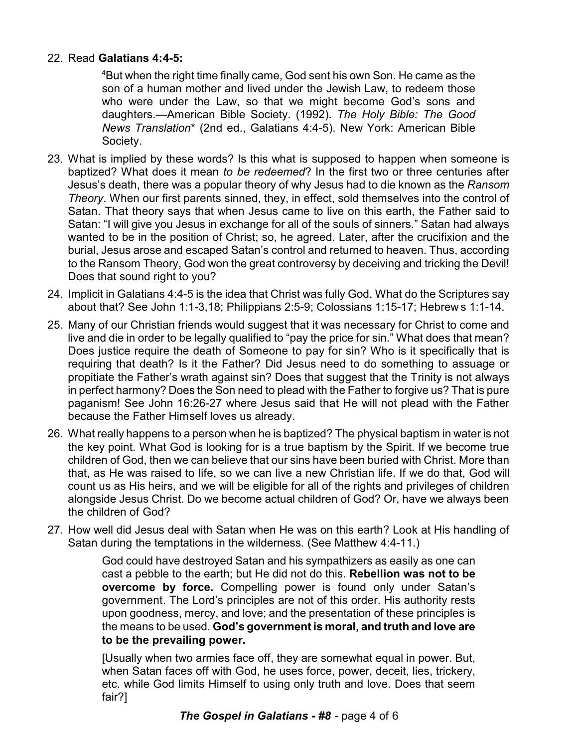## 22. Read **Galatians 4:4-5:**

<sup>4</sup>But when the right time finally came, God sent his own Son. He came as the son of a human mother and lived under the Jewish Law, to redeem those who were under the Law, so that we might become God's sons and daughters.—American Bible Society. (1992). *The Holy Bible: The Good News Translation*\* (2nd ed., Galatians 4:4-5). New York: American Bible Society.

- 23. What is implied by these words? Is this what is supposed to happen when someone is baptized? What does it mean *to be redeemed*? In the first two or three centuries after Jesus's death, there was a popular theory of why Jesus had to die known as the *Ransom Theory*. When our first parents sinned, they, in effect, sold themselves into the control of Satan. That theory says that when Jesus came to live on this earth, the Father said to Satan: "I will give you Jesus in exchange for all of the souls of sinners." Satan had always wanted to be in the position of Christ; so, he agreed. Later, after the crucifixion and the burial, Jesus arose and escaped Satan's control and returned to heaven. Thus, according to the Ransom Theory, God won the great controversy by deceiving and tricking the Devil! Does that sound right to you?
- 24. Implicit in Galatians 4:4-5 is the idea that Christ was fully God. What do the Scriptures say about that? See John 1:1-3,18; Philippians 2:5-9; Colossians 1:15-17; Hebrew s 1:1-14.
- 25. Many of our Christian friends would suggest that it was necessary for Christ to come and live and die in order to be legally qualified to "pay the price for sin." What does that mean? Does justice require the death of Someone to pay for sin? Who is it specifically that is requiring that death? Is it the Father? Did Jesus need to do something to assuage or propitiate the Father's wrath against sin? Does that suggest that the Trinity is not always in perfect harmony? Does the Son need to plead with the Father to forgive us? That is pure paganism! See John 16:26-27 where Jesus said that He will not plead with the Father because the Father Himself loves us already.
- 26. What really happens to a person when he is baptized? The physical baptism in water is not the key point. What God is looking for is a true baptism by the Spirit. If we become true children of God, then we can believe that our sins have been buried with Christ. More than that, as He was raised to life, so we can live a new Christian life. If we do that, God will count us as His heirs, and we will be eligible for all of the rights and privileges of children alongside Jesus Christ. Do we become actual children of God? Or, have we always been the children of God?
- 27. How well did Jesus deal with Satan when He was on this earth? Look at His handling of Satan during the temptations in the wilderness. (See Matthew 4:4-11.)

God could have destroyed Satan and his sympathizers as easily as one can cast a pebble to the earth; but He did not do this. **Rebellion was not to be overcome by force.** Compelling power is found only under Satan's government. The Lord's principles are not of this order. His authority rests upon goodness, mercy, and love; and the presentation of these principles is the means to be used. **God's government is moral, and truth and love are to be the prevailing power.**

[Usually when two armies face off, they are somewhat equal in power. But, when Satan faces off with God, he uses force, power, deceit, lies, trickery, etc. while God limits Himself to using only truth and love. Does that seem fair?]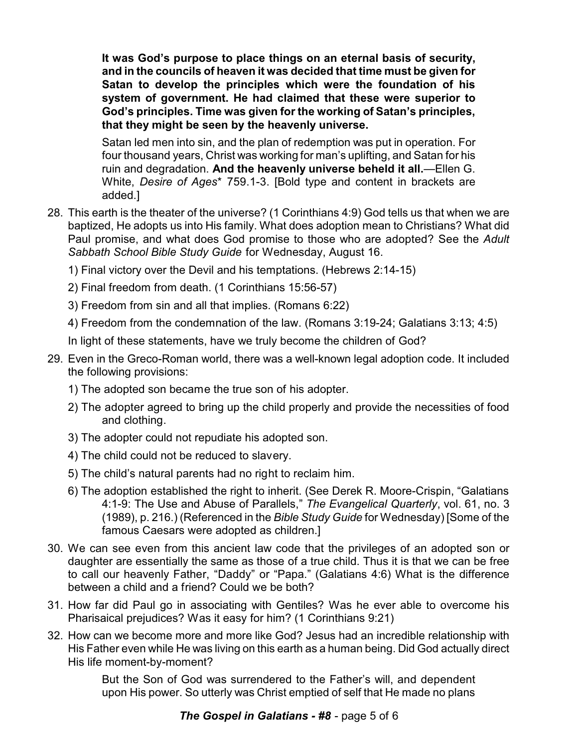**It was God's purpose to place things on an eternal basis of security, and in the councils of heaven it was decided that time must be given for Satan to develop the principles which were the foundation of his system of government. He had claimed that these were superior to God's principles. Time was given for the working of Satan's principles, that they might be seen by the heavenly universe.**

Satan led men into sin, and the plan of redemption was put in operation. For four thousand years, Christ was working for man's uplifting, and Satan for his ruin and degradation. **And the heavenly universe beheld it all.**—Ellen G. White, *Desire of Ages*\* 759.1-3. [Bold type and content in brackets are added.]

28. This earth is the theater of the universe? (1 Corinthians 4:9) God tells us that when we are baptized, He adopts us into His family. What does adoption mean to Christians? What did Paul promise, and what does God promise to those who are adopted? See the *Adult Sabbath School Bible Study Guide* for Wednesday, August 16.

1) Final victory over the Devil and his temptations. (Hebrews 2:14-15)

2) Final freedom from death. (1 Corinthians 15:56-57)

- 3) Freedom from sin and all that implies. (Romans 6:22)
- 4) Freedom from the condemnation of the law. (Romans 3:19-24; Galatians 3:13; 4:5)
- In light of these statements, have we truly become the children of God?
- 29. Even in the Greco-Roman world, there was a well-known legal adoption code. It included the following provisions:
	- 1) The adopted son became the true son of his adopter.
	- 2) The adopter agreed to bring up the child properly and provide the necessities of food and clothing.
	- 3) The adopter could not repudiate his adopted son.
	- 4) The child could not be reduced to slavery.
	- 5) The child's natural parents had no right to reclaim him.
	- 6) The adoption established the right to inherit. (See Derek R. Moore-Crispin, "Galatians 4:1-9: The Use and Abuse of Parallels," *The Evangelical Quarterly*, vol. 61, no. 3 (1989), p. 216.) (Referenced in the *Bible Study Guide* for Wednesday) [Some of the famous Caesars were adopted as children.]
- 30. We can see even from this ancient law code that the privileges of an adopted son or daughter are essentially the same as those of a true child. Thus it is that we can be free to call our heavenly Father, "Daddy" or "Papa." (Galatians 4:6) What is the difference between a child and a friend? Could we be both?
- 31. How far did Paul go in associating with Gentiles? Was he ever able to overcome his Pharisaical prejudices? Was it easy for him? (1 Corinthians 9:21)
- 32. How can we become more and more like God? Jesus had an incredible relationship with His Father even while He was living on this earth as a human being. Did God actually direct His life moment-by-moment?

But the Son of God was surrendered to the Father's will, and dependent upon His power. So utterly was Christ emptied of self that He made no plans